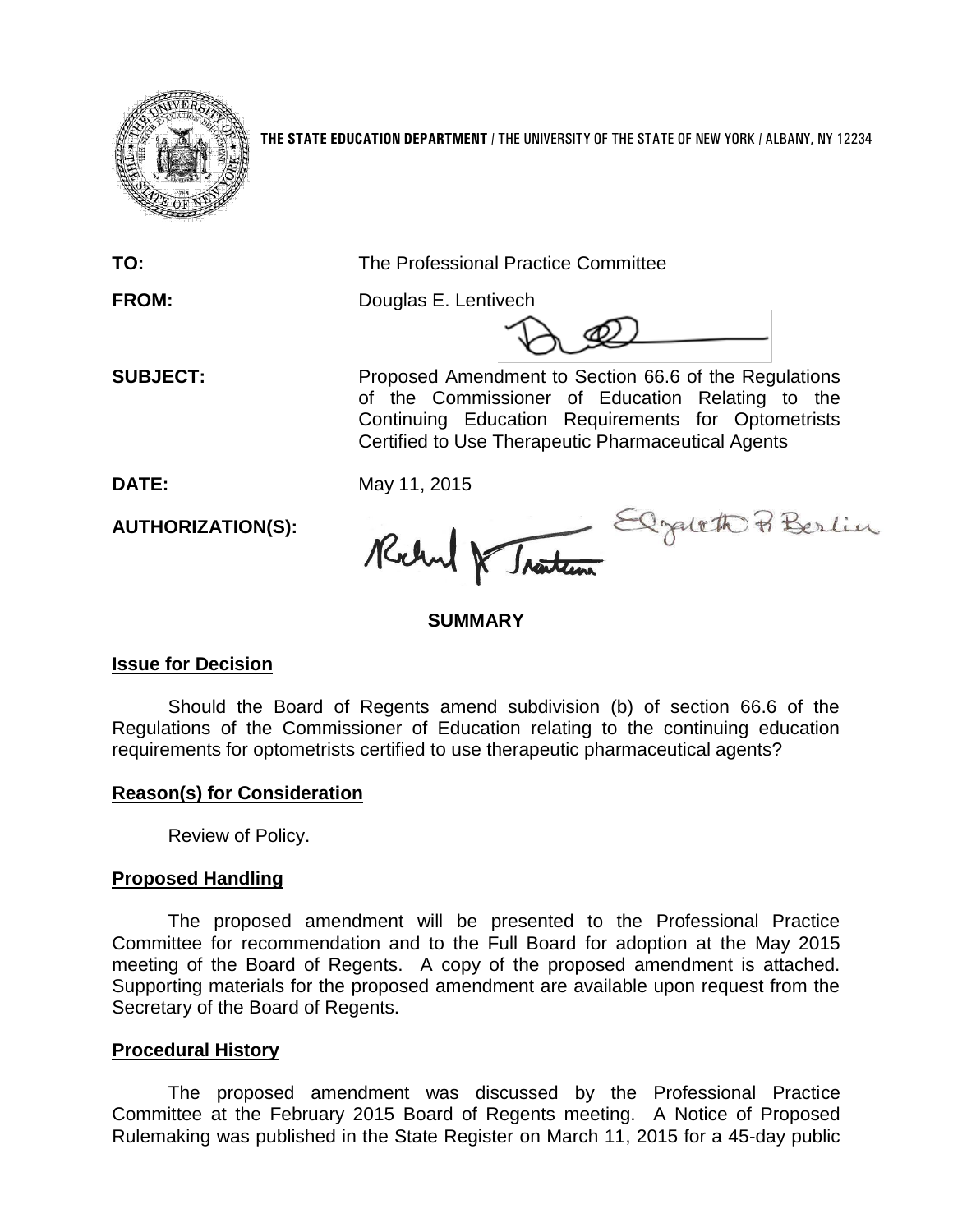

**THE STATE EDUCATION DEPARTMENT** / THE UNIVERSITY OF THE STATE OF NEW YORK / ALBANY, NY 12234

**TO:** The Professional Practice Committee

**FROM:** Douglas E. Lentivech

**SUBJECT:** Proposed Amendment to Section 66.6 of the Regulations of the Commissioner of Education Relating to the Continuing Education Requirements for Optometrists Certified to Use Therapeutic Pharmaceutical Agents

**AUTHORIZATION(S):**

DATE: May 11, 2015<br>AUTHORIZATION(S): Reland R Jasten

### **SUMMARY**

### **Issue for Decision**

Should the Board of Regents amend subdivision (b) of section 66.6 of the Regulations of the Commissioner of Education relating to the continuing education requirements for optometrists certified to use therapeutic pharmaceutical agents?

# **Reason(s) for Consideration**

Review of Policy.

# **Proposed Handling**

The proposed amendment will be presented to the Professional Practice Committee for recommendation and to the Full Board for adoption at the May 2015 meeting of the Board of Regents. A copy of the proposed amendment is attached. Supporting materials for the proposed amendment are available upon request from the Secretary of the Board of Regents.

### **Procedural History**

The proposed amendment was discussed by the Professional Practice Committee at the February 2015 Board of Regents meeting. A Notice of Proposed Rulemaking was published in the State Register on March 11, 2015 for a 45-day public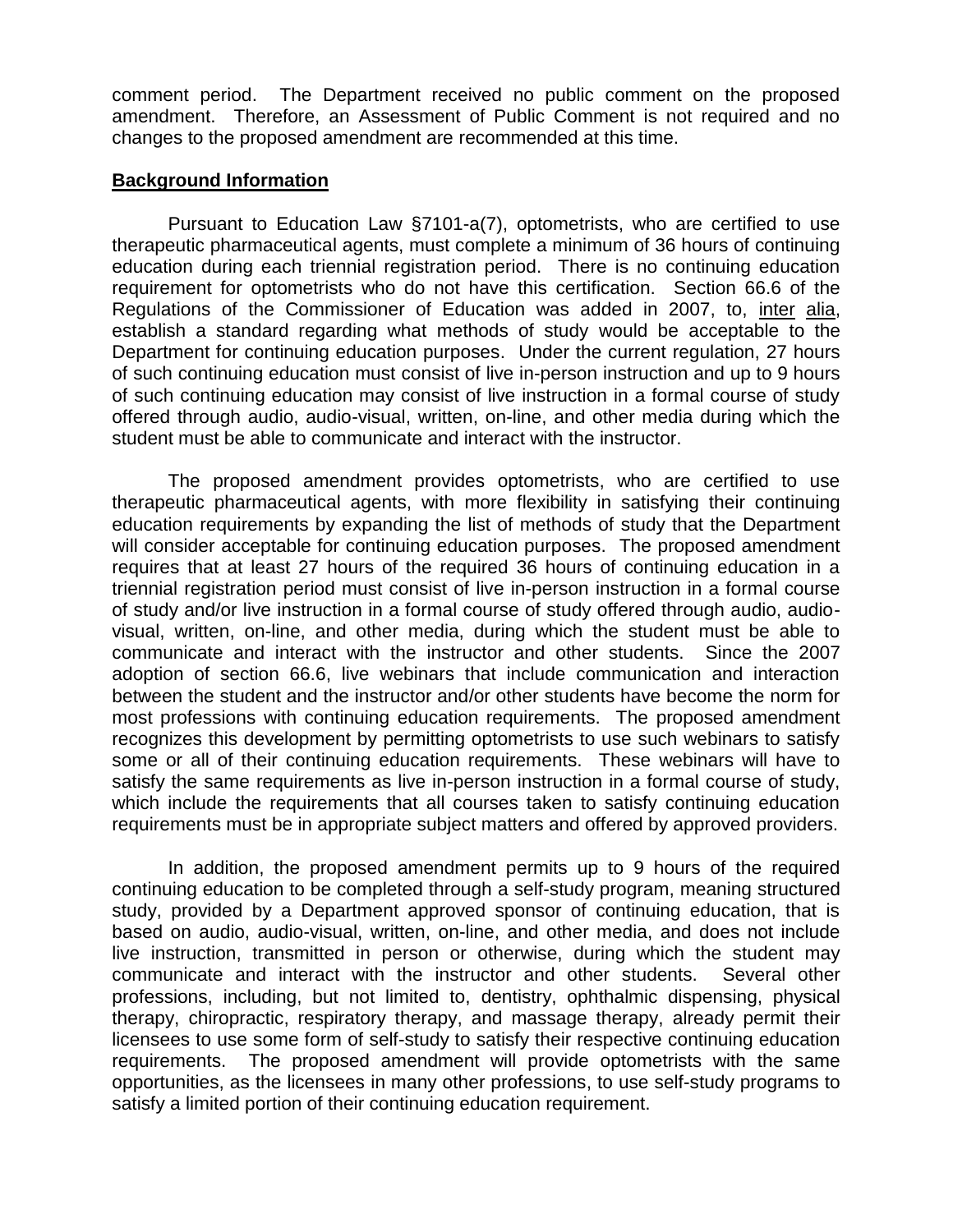comment period. The Department received no public comment on the proposed amendment. Therefore, an Assessment of Public Comment is not required and no changes to the proposed amendment are recommended at this time.

#### **Background Information**

Pursuant to Education Law §7101-a(7), optometrists, who are certified to use therapeutic pharmaceutical agents, must complete a minimum of 36 hours of continuing education during each triennial registration period. There is no continuing education requirement for optometrists who do not have this certification. Section 66.6 of the Regulations of the Commissioner of Education was added in 2007, to, inter alia, establish a standard regarding what methods of study would be acceptable to the Department for continuing education purposes. Under the current regulation, 27 hours of such continuing education must consist of live in-person instruction and up to 9 hours of such continuing education may consist of live instruction in a formal course of study offered through audio, audio-visual, written, on-line, and other media during which the student must be able to communicate and interact with the instructor.

The proposed amendment provides optometrists, who are certified to use therapeutic pharmaceutical agents, with more flexibility in satisfying their continuing education requirements by expanding the list of methods of study that the Department will consider acceptable for continuing education purposes. The proposed amendment requires that at least 27 hours of the required 36 hours of continuing education in a triennial registration period must consist of live in-person instruction in a formal course of study and/or live instruction in a formal course of study offered through audio, audiovisual, written, on-line, and other media, during which the student must be able to communicate and interact with the instructor and other students. Since the 2007 adoption of section 66.6, live webinars that include communication and interaction between the student and the instructor and/or other students have become the norm for most professions with continuing education requirements. The proposed amendment recognizes this development by permitting optometrists to use such webinars to satisfy some or all of their continuing education requirements. These webinars will have to satisfy the same requirements as live in-person instruction in a formal course of study, which include the requirements that all courses taken to satisfy continuing education requirements must be in appropriate subject matters and offered by approved providers.

In addition, the proposed amendment permits up to 9 hours of the required continuing education to be completed through a self-study program, meaning structured study, provided by a Department approved sponsor of continuing education, that is based on audio, audio-visual, written, on-line, and other media, and does not include live instruction, transmitted in person or otherwise, during which the student may communicate and interact with the instructor and other students. Several other professions, including, but not limited to, dentistry, ophthalmic dispensing, physical therapy, chiropractic, respiratory therapy, and massage therapy, already permit their licensees to use some form of self-study to satisfy their respective continuing education requirements. The proposed amendment will provide optometrists with the same opportunities, as the licensees in many other professions, to use self-study programs to satisfy a limited portion of their continuing education requirement.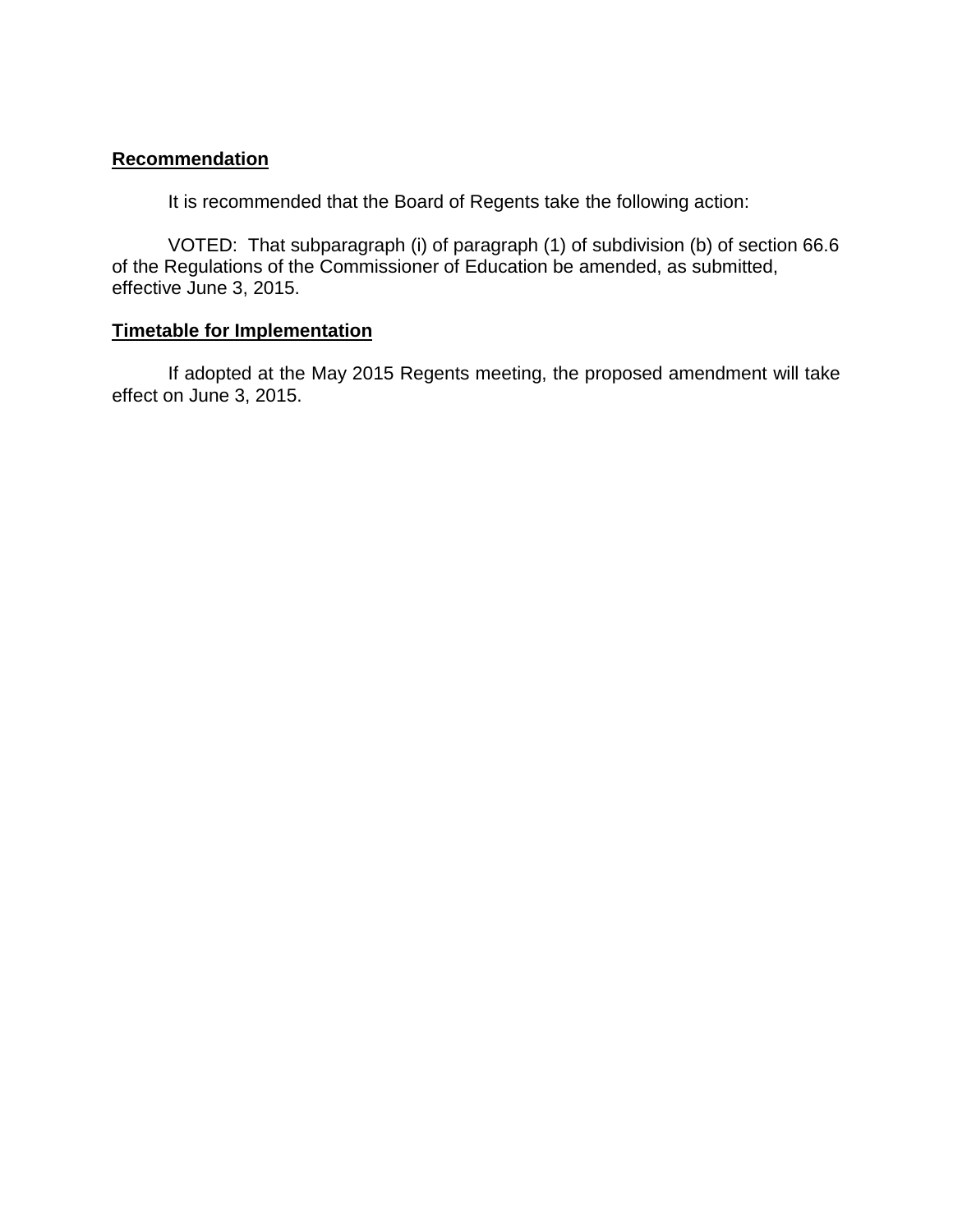# **Recommendation**

It is recommended that the Board of Regents take the following action:

VOTED: That subparagraph (i) of paragraph (1) of subdivision (b) of section 66.6 of the Regulations of the Commissioner of Education be amended, as submitted, effective June 3, 2015.

### **Timetable for Implementation**

If adopted at the May 2015 Regents meeting, the proposed amendment will take effect on June 3, 2015.